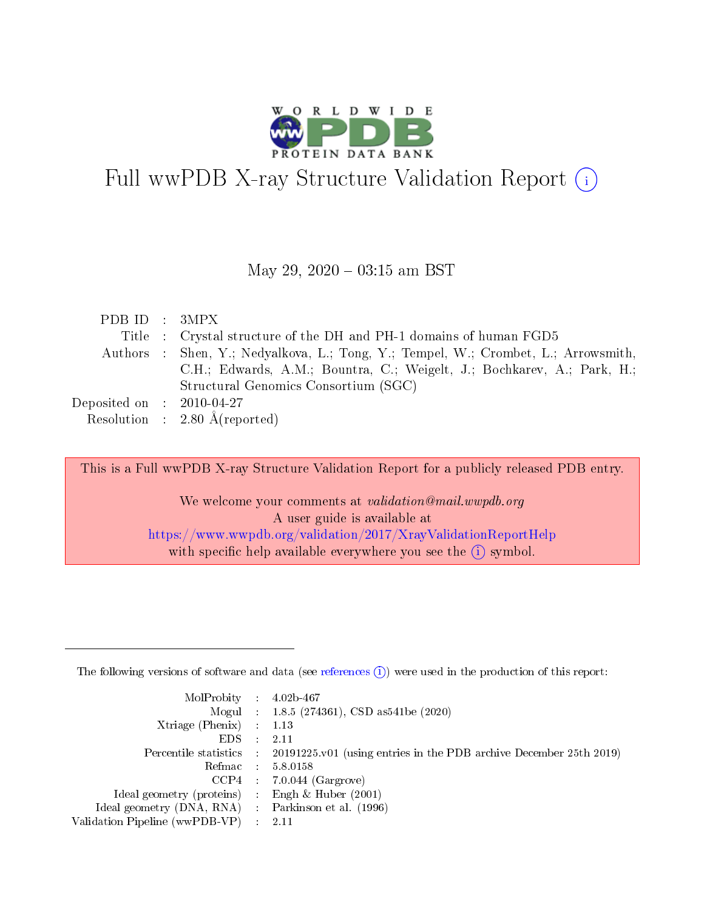

# Full wwPDB X-ray Structure Validation Report  $(i)$

#### May 29,  $2020 - 03:15$  am BST

| PDB ID : 3MPX                        |                                                                                    |
|--------------------------------------|------------------------------------------------------------------------------------|
|                                      |                                                                                    |
|                                      | Title : Crystal structure of the DH and PH-1 domains of human FGD5                 |
|                                      | Authors : Shen, Y.; Nedyalkova, L.; Tong, Y.; Tempel, W.; Crombet, L.; Arrowsmith, |
|                                      | C.H.; Edwards, A.M.; Bountra, C.; Weigelt, J.; Bochkarev, A.; Park, H.;            |
|                                      | Structural Genomics Consortium (SGC)                                               |
| Deposited on $\therefore$ 2010-04-27 |                                                                                    |
|                                      | Resolution : $2.80 \text{ Å}$ (reported)                                           |

This is a Full wwPDB X-ray Structure Validation Report for a publicly released PDB entry.

We welcome your comments at validation@mail.wwpdb.org A user guide is available at <https://www.wwpdb.org/validation/2017/XrayValidationReportHelp> with specific help available everywhere you see the  $(i)$  symbol.

The following versions of software and data (see [references](https://www.wwpdb.org/validation/2017/XrayValidationReportHelp#references)  $(1)$ ) were used in the production of this report:

| $MolProbability$ : 4.02b-467                        |                                                                                            |
|-----------------------------------------------------|--------------------------------------------------------------------------------------------|
|                                                     | Mogul : $1.8.5$ (274361), CSD as 541be (2020)                                              |
| Xtriage (Phenix) $: 1.13$                           |                                                                                            |
| $EDS$ :                                             | -2.11                                                                                      |
|                                                     | Percentile statistics : 20191225.v01 (using entries in the PDB archive December 25th 2019) |
| Refmac : 5.8.0158                                   |                                                                                            |
| CCP4                                                | $7.0.044$ (Gargrove)                                                                       |
| Ideal geometry (proteins) :                         | Engh $\&$ Huber (2001)                                                                     |
| Ideal geometry (DNA, RNA) : Parkinson et al. (1996) |                                                                                            |
| Validation Pipeline (wwPDB-VP) : 2.11               |                                                                                            |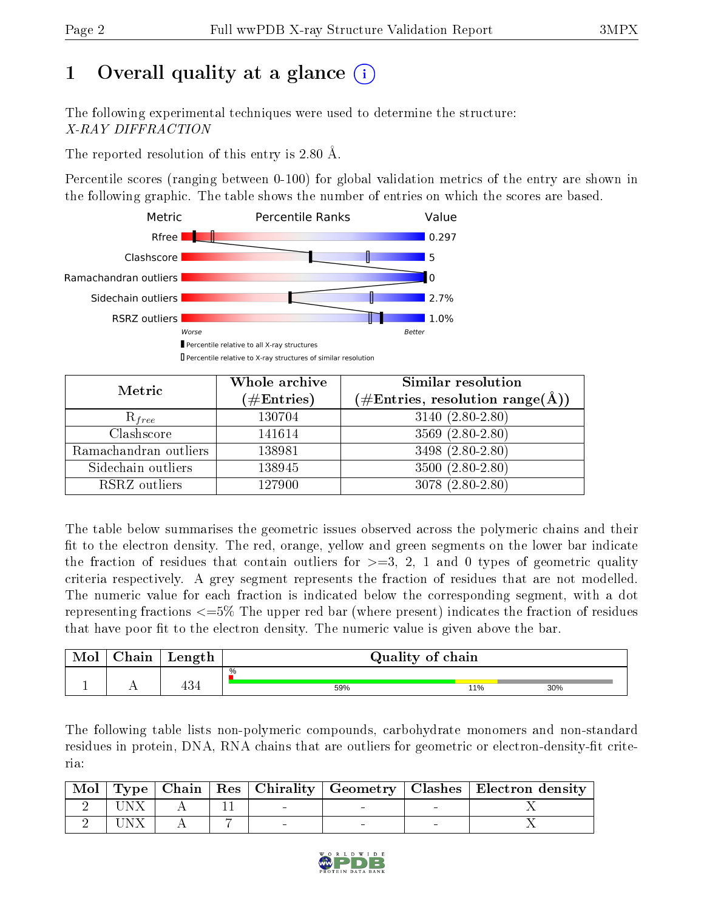# 1 [O](https://www.wwpdb.org/validation/2017/XrayValidationReportHelp#overall_quality)verall quality at a glance  $(i)$

The following experimental techniques were used to determine the structure: X-RAY DIFFRACTION

The reported resolution of this entry is 2.80 Å.

Percentile scores (ranging between 0-100) for global validation metrics of the entry are shown in the following graphic. The table shows the number of entries on which the scores are based.



| Metric                | Whole archive<br>$(\#\text{Entries})$ | <b>Similar resolution</b><br>$(\#\text{Entries}, \text{resolution range}(\text{\AA}))$ |  |  |
|-----------------------|---------------------------------------|----------------------------------------------------------------------------------------|--|--|
| $R_{free}$            | 130704                                | $3140(2.80-2.80)$                                                                      |  |  |
| Clashscore            | 141614                                | $3569(2.80-2.80)$                                                                      |  |  |
| Ramachandran outliers | 138981                                | $3498(2.80-2.80)$                                                                      |  |  |
| Sidechain outliers    | 138945                                | $3500(2.80-2.80)$                                                                      |  |  |
| RSRZ outliers         | 127900                                | $3078(2.80-2.80)$                                                                      |  |  |

The table below summarises the geometric issues observed across the polymeric chains and their fit to the electron density. The red, orange, yellow and green segments on the lower bar indicate the fraction of residues that contain outliers for  $>=3, 2, 1$  and 0 types of geometric quality criteria respectively. A grey segment represents the fraction of residues that are not modelled. The numeric value for each fraction is indicated below the corresponding segment, with a dot representing fractions <=5% The upper red bar (where present) indicates the fraction of residues that have poor fit to the electron density. The numeric value is given above the bar.

| Mol | ${\bf Chain}$ | Length    | Quality of chain |     |     |
|-----|---------------|-----------|------------------|-----|-----|
|     |               |           | %                |     |     |
|     |               | 101<br>99 | 59%              | 11% | 30% |

The following table lists non-polymeric compounds, carbohydrate monomers and non-standard residues in protein, DNA, RNA chains that are outliers for geometric or electron-density-fit criteria:

|      |  |  | Mol   Type   Chain   Res   Chirality   Geometry   Clashes   Electron density |
|------|--|--|------------------------------------------------------------------------------|
| UNX. |  |  |                                                                              |
| JNX. |  |  |                                                                              |

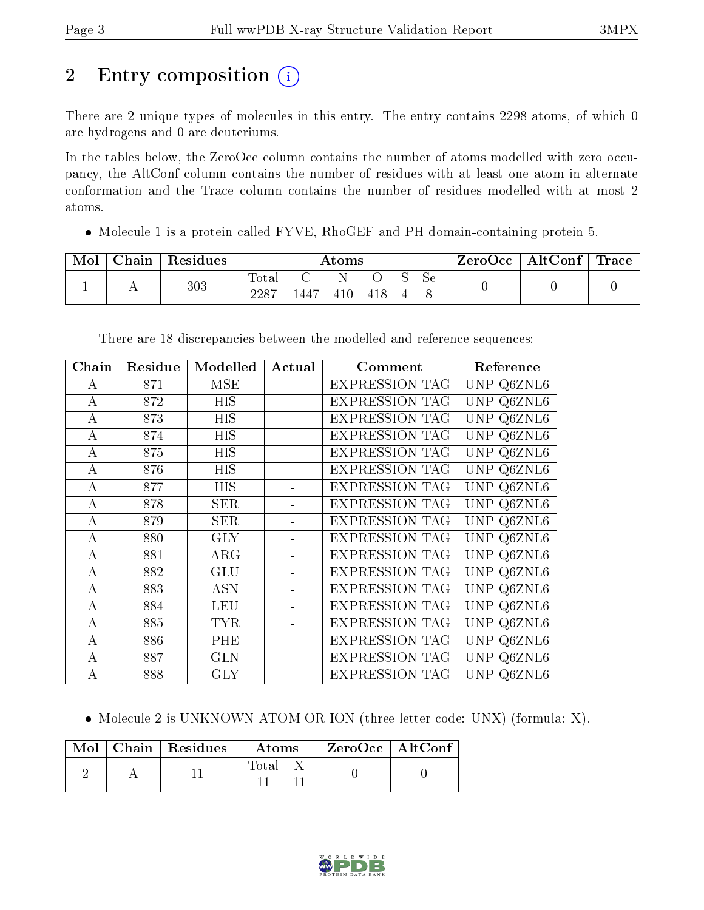# 2 Entry composition (i)

There are 2 unique types of molecules in this entry. The entry contains 2298 atoms, of which 0 are hydrogens and 0 are deuteriums.

In the tables below, the ZeroOcc column contains the number of atoms modelled with zero occupancy, the AltConf column contains the number of residues with at least one atom in alternate conformation and the Trace column contains the number of residues modelled with at most 2 atoms.

Molecule 1 is a protein called FYVE, RhoGEF and PH domain-containing protein 5.

| Mol | ${\bf Chain \,\, \,}$ | Residues | Atoms             |      |  |  | ZeroOcc | AltConf $\vert$ | $\mid$ Trace $\mid$ |  |  |
|-----|-----------------------|----------|-------------------|------|--|--|---------|-----------------|---------------------|--|--|
|     |                       | 303      | Iotal<br>$2287\,$ | .447 |  |  |         | Sе              |                     |  |  |

| Chain            | Residue | Modelled   | Actual                   | Comment               | Reference                                |
|------------------|---------|------------|--------------------------|-----------------------|------------------------------------------|
| A                | 871     | <b>MSE</b> |                          | <b>EXPRESSION TAG</b> | UNP Q6ZNL6                               |
| $\overline{A}$   | 872     | <b>HIS</b> | $\overline{\phantom{0}}$ | <b>EXPRESSION TAG</b> | UNP Q6ZNL6                               |
| А                | 873     | HIS        |                          | <b>EXPRESSION TAG</b> | $\overline{\text{U}}\text{NP}$<br>Q6ZNL6 |
| А                | 874     | HIS        |                          | <b>EXPRESSION TAG</b> | UNP Q6ZNL6                               |
| А                | 875     | HIS        |                          | <b>EXPRESSION TAG</b> | $Q\overline{6ZNL6}$<br>UNP               |
| А                | 876     | HIS        |                          | <b>EXPRESSION TAG</b> | UNP Q6ZNL6                               |
| А                | 877     | HIS        |                          | <b>EXPRESSION TAG</b> | UNP Q6ZNL6                               |
| А                | 878     | <b>SER</b> |                          | <b>EXPRESSION TAG</b> | UNP Q6ZNL6                               |
| $\boldsymbol{A}$ | 879     | <b>SER</b> |                          | <b>EXPRESSION TAG</b> | UNP<br>Q6ZNL6                            |
| А                | 880     | <b>GLY</b> |                          | <b>EXPRESSION TAG</b> | UNP<br>Q6ZNL6                            |
| A                | 881     | $\rm{ARG}$ |                          | <b>EXPRESSION TAG</b> | UNP Q6ZNL6                               |
| A                | 882     | <b>GLU</b> |                          | <b>EXPRESSION TAG</b> | UNP<br>Q6ZNL6                            |
| А                | 883     | <b>ASN</b> |                          | <b>EXPRESSION TAG</b> | Q6ZNL6<br>UNP                            |
| А                | 884     | LEU        |                          | <b>EXPRESSION TAG</b> | UNP.<br>Q6ZNL6                           |
| А                | 885     | <b>TYR</b> |                          | <b>EXPRESSION TAG</b> | <b>UNP</b><br>Q6ZNL6                     |
| А                | 886     | PHE        |                          | <b>EXPRESSION TAG</b> | <b>UNP</b><br>Q6ZNL6                     |
| А                | 887     | GLN        |                          | <b>EXPRESSION TAG</b> | UNP<br>Q6ZNL6                            |
| A                | 888     | GLY        |                          | <b>EXPRESSION TAG</b> | UNP<br>Q6ZNL6                            |

There are 18 discrepancies between the modelled and reference sequences:

• Molecule 2 is UNKNOWN ATOM OR ION (three-letter code: UNX) (formula: X).

|  | $\text{Mol}$   Chain   Residues | Atoms |  | ZeroOcc   AltConf |  |
|--|---------------------------------|-------|--|-------------------|--|
|  |                                 | Total |  |                   |  |

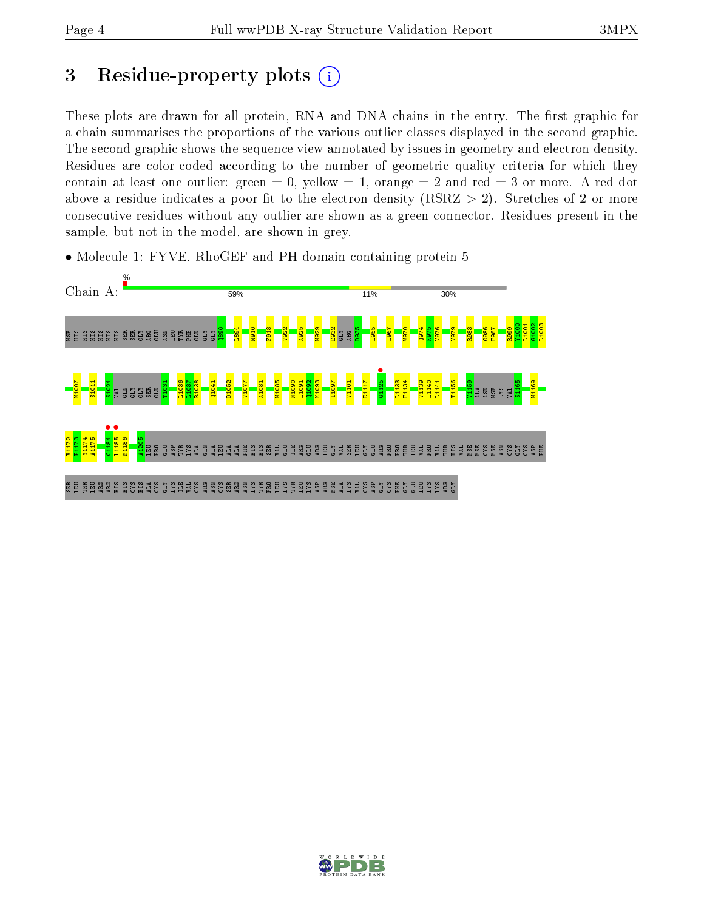## 3 Residue-property plots  $(i)$

These plots are drawn for all protein, RNA and DNA chains in the entry. The first graphic for a chain summarises the proportions of the various outlier classes displayed in the second graphic. The second graphic shows the sequence view annotated by issues in geometry and electron density. Residues are color-coded according to the number of geometric quality criteria for which they contain at least one outlier: green  $= 0$ , yellow  $= 1$ , orange  $= 2$  and red  $= 3$  or more. A red dot above a residue indicates a poor fit to the electron density (RSRZ  $> 2$ ). Stretches of 2 or more consecutive residues without any outlier are shown as a green connector. Residues present in the sample, but not in the model, are shown in grey.



• Molecule 1: FYVE, RhoGEF and PH domain-containing protein 5

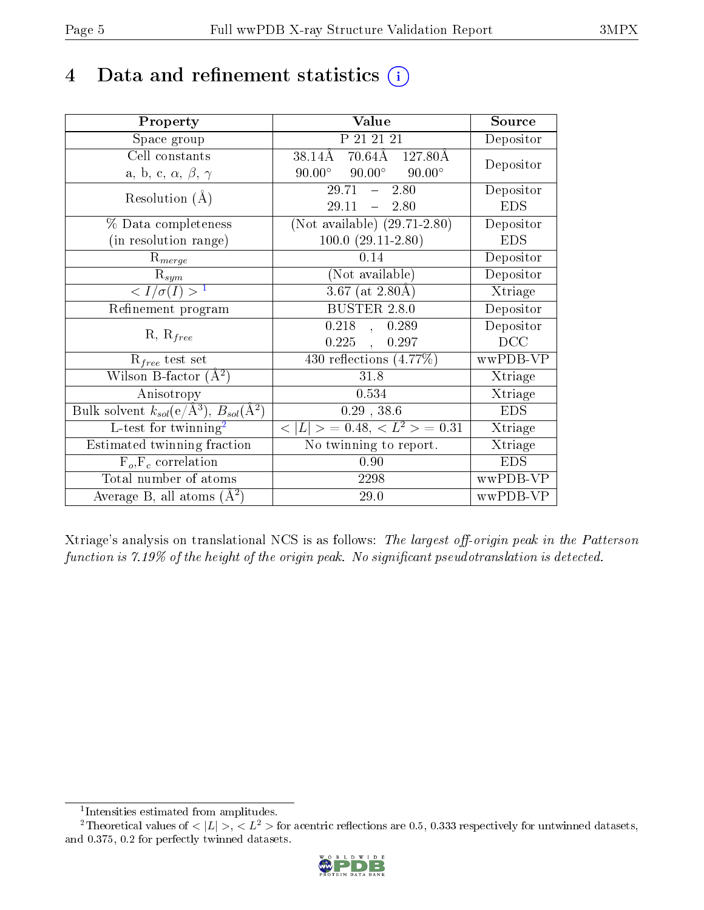# 4 Data and refinement statistics  $(i)$

| Property                                                             | Value                                            | Source                       |
|----------------------------------------------------------------------|--------------------------------------------------|------------------------------|
| Space group                                                          | P 21 21 21                                       | Depositor                    |
| Cell constants                                                       | 70.64Å 127.80Å<br>38.14Å                         | Depositor                    |
| a, b, c, $\alpha$ , $\beta$ , $\gamma$                               | $90.00^{\circ}$ $90.00^{\circ}$<br>$90.00^\circ$ |                              |
| Resolution $(A)$                                                     | $-2.80$<br>29.71                                 | Depositor                    |
|                                                                      | 29.11<br>$-2.80$                                 | <b>EDS</b>                   |
| % Data completeness                                                  | (Not available) $(29.71-2.80)$                   | Depositor                    |
| (in resolution range)                                                | $100.0 (29.11 - 2.80)$                           | <b>EDS</b>                   |
| $R_{merge}$                                                          | 0.14                                             | Depositor                    |
| $\mathrm{R}_{sym}$                                                   | (Not available)                                  | Depositor                    |
| $\langle I/\sigma(I) \rangle^{-1}$                                   | $3.67$ (at 2.80Å)                                | $\overline{\text{X}}$ triage |
| Refinement program                                                   | <b>BUSTER 2.8.0</b>                              | Depositor                    |
| $R, R_{free}$                                                        | $0.218$ , $0.289$                                | Depositor                    |
|                                                                      | $0.225$ ,<br>0.297                               | DCC                          |
| $R_{free}$ test set                                                  | 430 reflections $(4.77\%)$                       | wwPDB-VP                     |
| Wilson B-factor $(A^2)$                                              | 31.8                                             | Xtriage                      |
| Anisotropy                                                           | 0.534                                            | Xtriage                      |
| Bulk solvent $k_{sol}(e/\mathring{A}^3)$ , $B_{sol}(\mathring{A}^2)$ | $0.29$ , 38.6                                    | <b>EDS</b>                   |
| L-test for twinning <sup>2</sup>                                     | $< L >$ = 0.48, $< L2 >$ = 0.31                  | Xtriage                      |
| Estimated twinning fraction                                          | No twinning to report.                           | Xtriage                      |
| $F_o, F_c$ correlation                                               | 0.90                                             | <b>EDS</b>                   |
| Total number of atoms                                                | 2298                                             | wwPDB-VP                     |
| Average B, all atoms $(A^2)$                                         | 29.0                                             | wwPDB-VP                     |

Xtriage's analysis on translational NCS is as follows: The largest off-origin peak in the Patterson function is  $7.19\%$  of the height of the origin peak. No significant pseudotranslation is detected.

<sup>&</sup>lt;sup>2</sup>Theoretical values of  $\langle |L| \rangle$ ,  $\langle L^2 \rangle$  for acentric reflections are 0.5, 0.333 respectively for untwinned datasets, and 0.375, 0.2 for perfectly twinned datasets.



<span id="page-4-1"></span><span id="page-4-0"></span><sup>1</sup> Intensities estimated from amplitudes.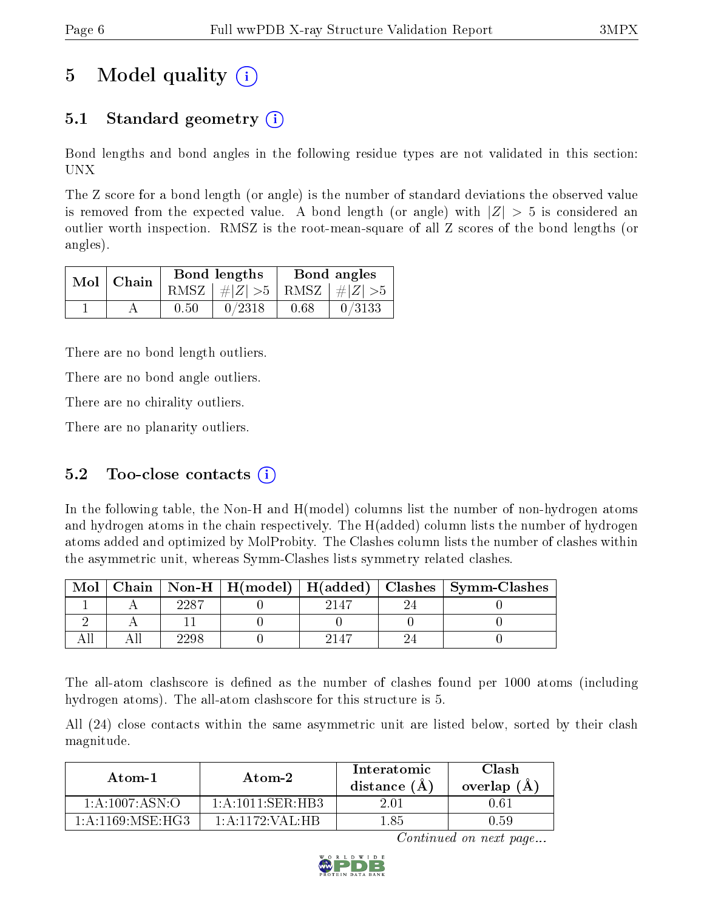# 5 Model quality  $(i)$

### 5.1 Standard geometry (i)

Bond lengths and bond angles in the following residue types are not validated in this section: UNX

The Z score for a bond length (or angle) is the number of standard deviations the observed value is removed from the expected value. A bond length (or angle) with  $|Z| > 5$  is considered an outlier worth inspection. RMSZ is the root-mean-square of all Z scores of the bond lengths (or angles).

| $Mol$   Chain |      | Bond lengths                    | Bond angles |        |  |
|---------------|------|---------------------------------|-------------|--------|--|
|               |      | RMSZ $ #Z  > 5$ RMSZ $ #Z  > 5$ |             |        |  |
|               | 0.50 | 0/2318                          | 0.68        | 0/3133 |  |

There are no bond length outliers.

There are no bond angle outliers.

There are no chirality outliers.

There are no planarity outliers.

#### 5.2 Too-close contacts  $(i)$

In the following table, the Non-H and H(model) columns list the number of non-hydrogen atoms and hydrogen atoms in the chain respectively. The H(added) column lists the number of hydrogen atoms added and optimized by MolProbity. The Clashes column lists the number of clashes within the asymmetric unit, whereas Symm-Clashes lists symmetry related clashes.

| Mol |     |      | Chain   Non-H   H(model)   H(added)   Clashes   Symm-Clashes |
|-----|-----|------|--------------------------------------------------------------|
|     |     | 2147 |                                                              |
|     |     |      |                                                              |
|     | 298 | 2147 |                                                              |

The all-atom clashscore is defined as the number of clashes found per 1000 atoms (including hydrogen atoms). The all-atom clashscore for this structure is 5.

All (24) close contacts within the same asymmetric unit are listed below, sorted by their clash magnitude.

| Atom-1               | Atom-2                                     | Interatomic<br>distance (A | Clash<br>overlap $(A)$ |
|----------------------|--------------------------------------------|----------------------------|------------------------|
| 1: A: 1007: ASN:O    | $1 \cdot A \cdot 1011 \cdot SFR \cdot HR3$ | 2.01                       | 1.61                   |
| 1: A: 1169: MSE: HG3 | $1:$ A:1172:VAL:HB                         | .85                        | J 59                   |

Continued on next page...

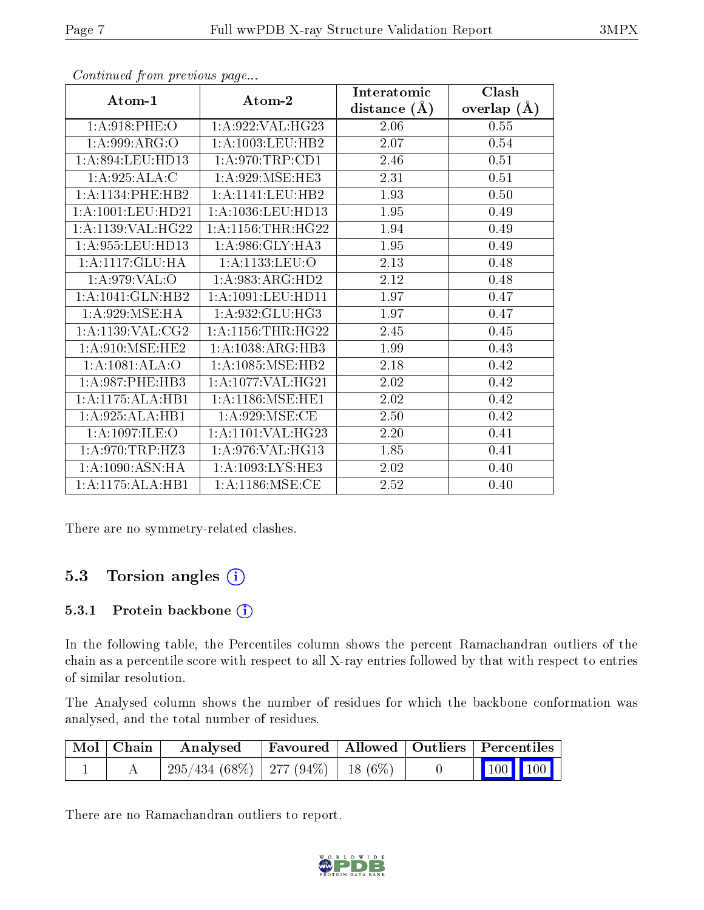|                      |                                          | Interatomic      | Clash         |
|----------------------|------------------------------------------|------------------|---------------|
| Atom-1               | Atom-2                                   | distance $(\AA)$ | overlap $(A)$ |
| 1: A:918: PHE:O      | $1:\overline{A}:922:\overline{VAL}:HG23$ | 2.06             | 0.55          |
| 1: A:999: ARG:O      | 1:A:1003:LEU:HB2                         | 2.07             | 0.54          |
| 1:A:894:LEU:HD13     | 1: A:970:TRP:CD1                         | 2.46             | 0.51          |
| 1:A:925:ALA:C        | 1: A:929: MSE: HE3                       | 2.31             | 0.51          |
| 1:A:1134:PHE:HB2     | 1:A:1141:LEU:HB2                         | 1.93             | 0.50          |
| 1:A:1001:LEU:HD21    | 1:A:1036:LEU:HD13                        | 1.95             | 0.49          |
| $1:$ A:1139:VAL:HG22 | 1: A: 1156: THR: HG22                    | 1.94             | 0.49          |
| 1: A:955: LEU: HD13  | 1:A:986:GLY:HA3                          | 1.95             | 0.49          |
| 1:A:1117:GLU:HA      | 1:A:1133:LEU:O                           | 2.13             | 0.48          |
| 1: A:979: VAL:O      | 1:A:983:ARG:HD2                          | 2.12             | 0.48          |
| 1:A:1041:GLN:HB2     | 1:A:1091:LEU:HD11                        | 1.97             | 0.47          |
| 1: A:929: MSE: HA    | 1:A:932:GLU:HG3                          | 1.97             | 0.47          |
| 1:A:1139:VAL:CG2     | 1: A: 1156: THR: HG22                    | 2.45             | 0.45          |
| 1: A:910:MSE:HE2     | 1:A:1038:ARG:HB3                         | 1.99             | 0.43          |
| 1:A:1081:ALA:O       | 1: A: 1085: MSE: HB2                     | 2.18             | 0.42          |
| 1: A:987:PHE:HB3     | 1:A:1077:VAL:HG21                        | 2.02             | 0.42          |
| 1:A:1175:ALA:HB1     | 1:A:1186:MSE:HE1                         | 2.02             | 0.42          |
| 1:A:925:ALA:HB1      | 1: A:929: MSE: CE                        | 2.50             | 0.42          |
| 1:A:1097:ILE:O       | 1:A:1101:VAL:HG23                        | 2.20             | 0.41          |
| 1: A:970:TRP:HZ3     | 1:A:976:VAL:HG13                         | 1.85             | 0.41          |
| 1:A:1090:ASN:HA      | 1:A:1093:LYS:HE3                         | 2.02             | 0.40          |
| 1:A:1175:ALA:HB1     | $1: A:1186:\overline{\text{MSE:CE}}$     | 2.52             | 0.40          |

Continued from previous page...

There are no symmetry-related clashes.

### 5.3 Torsion angles (i)

#### 5.3.1 Protein backbone (i)

In the following table, the Percentiles column shows the percent Ramachandran outliers of the chain as a percentile score with respect to all X-ray entries followed by that with respect to entries of similar resolution.

The Analysed column shows the number of residues for which the backbone conformation was analysed, and the total number of residues.

| Mol   Chain | Analysed                              |  | Favoured   Allowed   Outliers   Percentiles                |
|-------------|---------------------------------------|--|------------------------------------------------------------|
|             | $295/434(68\%)$   277 (94%)   18 (6%) |  | $\begin{array}{ c c c c }\n\hline\n100 & 100\n\end{array}$ |

There are no Ramachandran outliers to report.

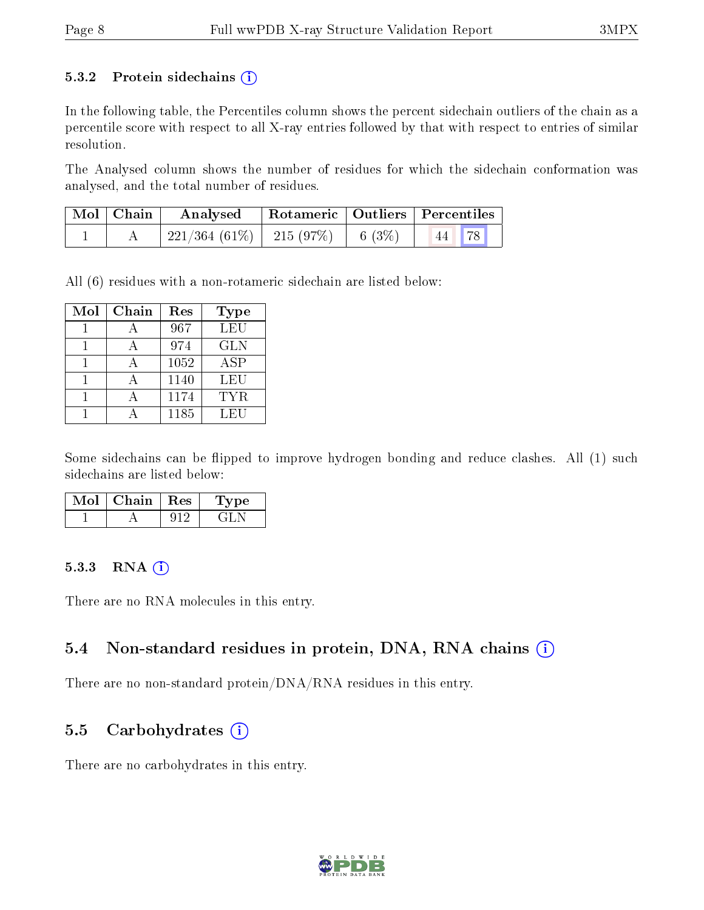#### 5.3.2 Protein sidechains  $(i)$

In the following table, the Percentiles column shows the percent sidechain outliers of the chain as a percentile score with respect to all X-ray entries followed by that with respect to entries of similar resolution.

The Analysed column shows the number of residues for which the sidechain conformation was analysed, and the total number of residues.

| $\mid$ Mol $\mid$ Chain | Rotameric   Outliers   Percentiles<br>Analysed                                                         |  |  |       |
|-------------------------|--------------------------------------------------------------------------------------------------------|--|--|-------|
|                         | $\begin{array}{ c c c c c c c c } \hline 221/364 & (61\%)& 215 & (97\%)& 6 & (3\%) \hline \end{array}$ |  |  | 44 78 |

All (6) residues with a non-rotameric sidechain are listed below:

| Mol | $Chain$ | Res  | Type       |
|-----|---------|------|------------|
|     |         | 967  | LEU        |
|     |         | 974  | <b>GLN</b> |
|     |         | 1052 | <b>ASP</b> |
|     |         | 1140 | LEU        |
|     |         | 1174 | <b>TYR</b> |
|     |         | 1185 | LEU        |

Some sidechains can be flipped to improve hydrogen bonding and reduce clashes. All (1) such sidechains are listed below:

| Chain | $+$ Res $+$ | vpe |
|-------|-------------|-----|
|       |             |     |

#### 5.3.3 RNA (i)

There are no RNA molecules in this entry.

#### 5.4 Non-standard residues in protein, DNA, RNA chains (i)

There are no non-standard protein/DNA/RNA residues in this entry.

#### 5.5 Carbohydrates  $(i)$

There are no carbohydrates in this entry.

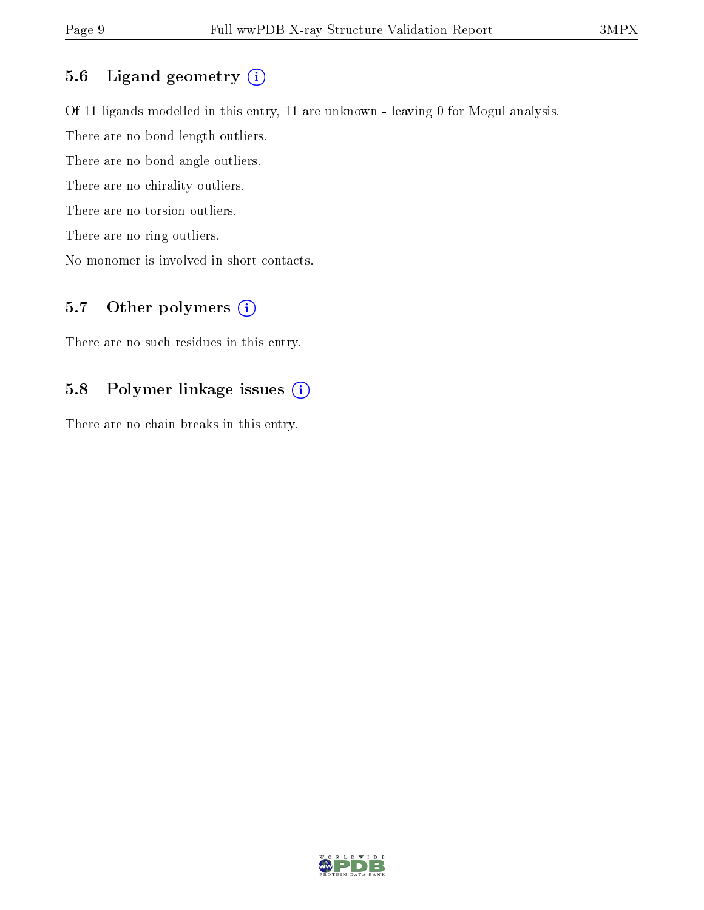#### 5.6 Ligand geometry (i)

Of 11 ligands modelled in this entry, 11 are unknown - leaving 0 for Mogul analysis.

There are no bond length outliers.

There are no bond angle outliers.

There are no chirality outliers.

There are no torsion outliers.

There are no ring outliers.

No monomer is involved in short contacts.

### 5.7 [O](https://www.wwpdb.org/validation/2017/XrayValidationReportHelp#nonstandard_residues_and_ligands)ther polymers (i)

There are no such residues in this entry.

### 5.8 Polymer linkage issues (i)

There are no chain breaks in this entry.

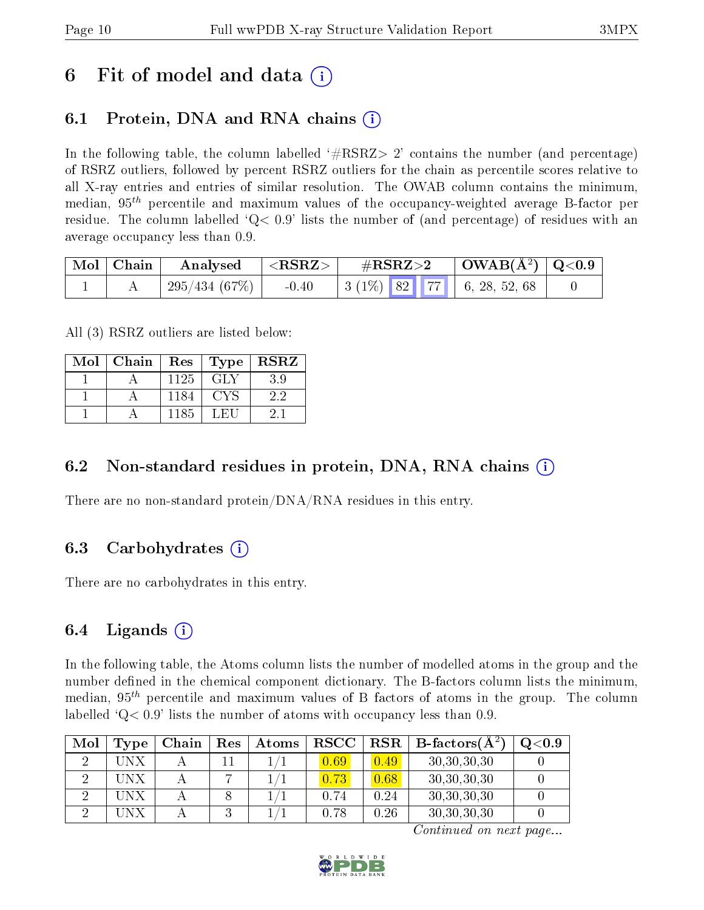## 6 Fit of model and data  $\left( \cdot \right)$

## 6.1 Protein, DNA and RNA chains (i)

In the following table, the column labelled  $#RSRZ>2'$  contains the number (and percentage) of RSRZ outliers, followed by percent RSRZ outliers for the chain as percentile scores relative to all X-ray entries and entries of similar resolution. The OWAB column contains the minimum, median,  $95<sup>th</sup>$  percentile and maximum values of the occupancy-weighted average B-factor per residue. The column labelled  $Q < 0.9$  lists the number of (and percentage) of residues with an average occupancy less than 0.9.

| $\mid$ Mol $\mid$ Chain | Analysed     | ${ <\hspace{-1.5pt}{\mathrm{RSRZ}} \hspace{-1.5pt}>}$ | $\rm \#RSRZ{>}2$ |  | $\mid$ OWAB(Å <sup>2</sup> ) $\mid$ Q<0.9 $\mid$                           |  |
|-------------------------|--------------|-------------------------------------------------------|------------------|--|----------------------------------------------------------------------------|--|
|                         | 295/434(67%) | $-0.40$                                               |                  |  | $\mid 3 \ (1\%) \ \mid 82 \ \mid \mid 77 \ \mid \mid 6, 28, 52, 68 \ \mid$ |  |

All (3) RSRZ outliers are listed below:

| Mol | Chain | $Res \vert$ | $\Gamma$ ype | $\operatorname{RSRZ}$ |
|-----|-------|-------------|--------------|-----------------------|
|     |       | 1125        | GLY          | 3.9                   |
|     |       | 1184        | CYS          | 2.2                   |
|     |       | 1185        | L FII        | 21                    |

### 6.2 Non-standard residues in protein, DNA, RNA chains  $(i)$

There are no non-standard protein/DNA/RNA residues in this entry.

### 6.3 Carbohydrates (i)

There are no carbohydrates in this entry.

### 6.4 Ligands  $(i)$

In the following table, the Atoms column lists the number of modelled atoms in the group and the number defined in the chemical component dictionary. The B-factors column lists the minimum, median,  $95<sup>th</sup>$  percentile and maximum values of B factors of atoms in the group. The column labelled  $Q< 0.9$ ' lists the number of atoms with occupancy less than 0.9.

| Mol | Type | Chain | Res | Atoms | <b>RSCC</b> | RSR  | $B\text{-factors}(A^2)$ | $Q<$ 0.9 |
|-----|------|-------|-----|-------|-------------|------|-------------------------|----------|
|     | UNX  |       |     |       | 0.69        | 0.49 | 30,30,30,30             |          |
|     | UNX  |       |     |       | 0.73        | 0.68 | 30,30,30,30             |          |
|     | UN X |       |     |       | 0.74        | 0.24 | 30, 30, 30, 30          |          |
|     |      |       |     |       | 0.78        | 0.26 | 30, 30, 30, 30          |          |

Continued on next page...